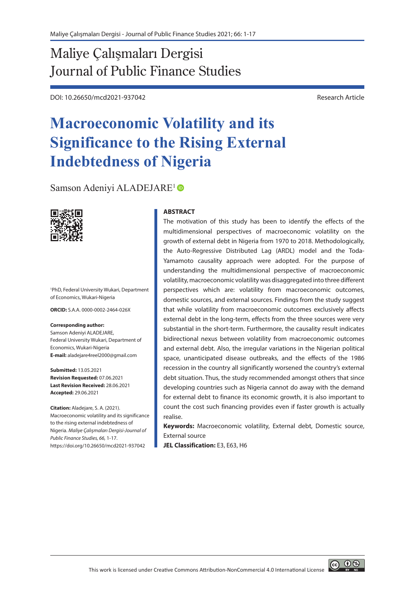# Maliye Çalışmaları Dergisi Journal of Public Finance Studies

DOI: 10.26650/mcd2021-937042 Research Article

# **Macroeconomic Volatility and its Significance to the Rising External Indebtedness of Nigeria**

Samson Adeniyi ALADEJARE<sup>1</sup>



1 PhD, Federal University Wukari, Department of Economics, Wukari-Nigeria

**ORCID:** S.A.A. 0000-0002-2464-026X

#### **Corresponding author:**

Samson Adeniyi ALADEJARE, Federal University Wukari, Department of Economics, Wukari-Nigeria **E-mail:** aladejare4reel2000@gmail.com

**Submitted:** 13.05.2021 **Revision Requested:** 07.06.2021 **Last Revision Received:** 28.06.2021 **Accepted:** 29.06.2021

**Citation:** Aladejare, S. A. (2021). Macroeconomic volatility and its significance to the rising external indebtedness of Nigeria. *Maliye Çalışmaları Dergisi-Journal of Public Finance Studies, 66,* 1-17. https://doi.org/10.26650/mcd2021-937042

#### **ABSTRACT**

The motivation of this study has been to identify the effects of the multidimensional perspectives of macroeconomic volatility on the growth of external debt in Nigeria from 1970 to 2018. Methodologically, the Auto-Regressive Distributed Lag (ARDL) model and the Toda-Yamamoto causality approach were adopted. For the purpose of understanding the multidimensional perspective of macroeconomic volatility, macroeconomic volatility was disaggregated into three different perspectives which are: volatility from macroeconomic outcomes, domestic sources, and external sources. Findings from the study suggest that while volatility from macroeconomic outcomes exclusively affects external debt in the long-term, effects from the three sources were very substantial in the short-term. Furthermore, the causality result indicates bidirectional nexus between volatility from macroeconomic outcomes and external debt. Also, the irregular variations in the Nigerian political space, unanticipated disease outbreaks, and the effects of the 1986 recession in the country all significantly worsened the country's external debt situation. Thus, the study recommended amongst others that since developing countries such as Nigeria cannot do away with the demand for external debt to finance its economic growth, it is also important to count the cost such financing provides even if faster growth is actually realise.

**Keywords:** Macroeconomic volatility, External debt, Domestic source, External source

**JEL Classification:** E3, E63, H6

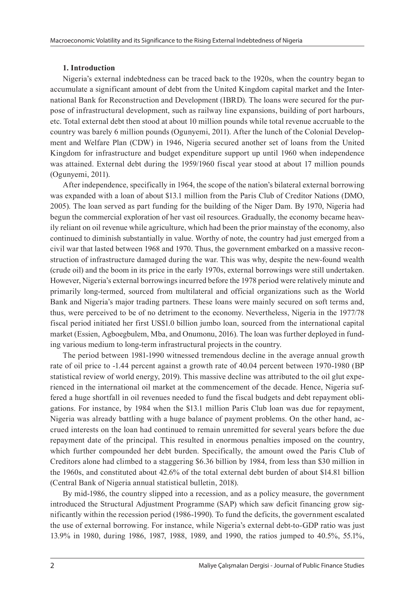### **1. Introduction**

Nigeria's external indebtedness can be traced back to the 1920s, when the country began to accumulate a significant amount of debt from the United Kingdom capital market and the International Bank for Reconstruction and Development (IBRD). The loans were secured for the purpose of infrastructural development, such as railway line expansions, building of port harbours, etc. Total external debt then stood at about 10 million pounds while total revenue accruable to the country was barely 6 million pounds (Ogunyemi, 2011). After the lunch of the Colonial Development and Welfare Plan (CDW) in 1946, Nigeria secured another set of loans from the United Kingdom for infrastructure and budget expenditure support up until 1960 when independence was attained. External debt during the 1959/1960 fiscal year stood at about 17 million pounds (Ogunyemi, 2011).

After independence, specifically in 1964, the scope of the nation's bilateral external borrowing was expanded with a loan of about \$13.1 million from the Paris Club of Creditor Nations (DMO, 2005). The loan served as part funding for the building of the Niger Dam. By 1970, Nigeria had begun the commercial exploration of her vast oil resources. Gradually, the economy became heavily reliant on oil revenue while agriculture, which had been the prior mainstay of the economy, also continued to diminish substantially in value. Worthy of note, the country had just emerged from a civil war that lasted between 1968 and 1970. Thus, the government embarked on a massive reconstruction of infrastructure damaged during the war. This was why, despite the new-found wealth (crude oil) and the boom in its price in the early 1970s, external borrowings were still undertaken. However, Nigeria's external borrowings incurred before the 1978 period were relatively minute and primarily long-termed, sourced from multilateral and official organizations such as the World Bank and Nigeria's major trading partners. These loans were mainly secured on soft terms and, thus, were perceived to be of no detriment to the economy. Nevertheless, Nigeria in the 1977/78 fiscal period initiated her first US\$1.0 billion jumbo loan, sourced from the international capital market (Essien, Agboegbulem, Mba, and Onumonu, 2016). The loan was further deployed in funding various medium to long-term infrastructural projects in the country.

The period between 1981-1990 witnessed tremendous decline in the average annual growth rate of oil price to -1.44 percent against a growth rate of 40.04 percent between 1970-1980 (BP statistical review of world energy, 2019). This massive decline was attributed to the oil glut experienced in the international oil market at the commencement of the decade. Hence, Nigeria suffered a huge shortfall in oil revenues needed to fund the fiscal budgets and debt repayment obligations. For instance, by 1984 when the \$13.1 million Paris Club loan was due for repayment, Nigeria was already battling with a huge balance of payment problems. On the other hand, accrued interests on the loan had continued to remain unremitted for several years before the due repayment date of the principal. This resulted in enormous penalties imposed on the country, which further compounded her debt burden. Specifically, the amount owed the Paris Club of Creditors alone had climbed to a staggering \$6.36 billion by 1984, from less than \$30 million in the 1960s, and constituted about 42.6% of the total external debt burden of about \$14.81 billion (Central Bank of Nigeria annual statistical bulletin, 2018).

By mid-1986, the country slipped into a recession, and as a policy measure, the government introduced the Structural Adjustment Programme (SAP) which saw deficit financing grow significantly within the recession period (1986-1990). To fund the deficits, the government escalated the use of external borrowing. For instance, while Nigeria's external debt-to-GDP ratio was just 13.9% in 1980, during 1986, 1987, 1988, 1989, and 1990, the ratios jumped to 40.5%, 55.1%,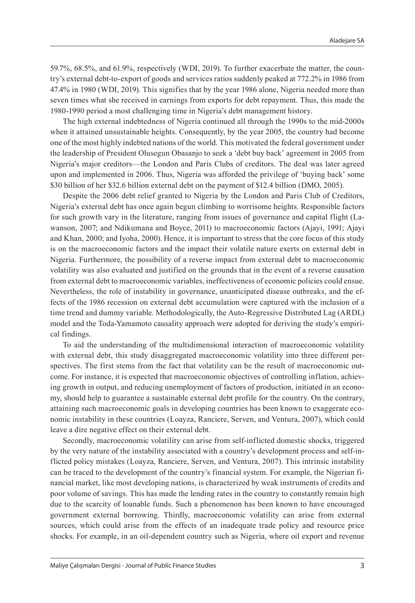59.7%, 68.5%, and 61.9%, respectively (WDI, 2019). To further exacerbate the matter, the country's external debt-to-export of goods and services ratios suddenly peaked at 772.2% in 1986 from 47.4% in 1980 (WDI, 2019). This signifies that by the year 1986 alone, Nigeria needed more than seven times what she received in earnings from exports for debt repayment. Thus, this made the 1980-1990 period a most challenging time in Nigeria's debt management history.

The high external indebtedness of Nigeria continued all through the 1990s to the mid-2000s when it attained unsustainable heights. Consequently, by the year 2005, the country had become one of the most highly indebted nations of the world. This motivated the federal government under the leadership of President Olusegun Obasanjo to seek a 'debt buy back' agreement in 2005 from Nigeria's major creditors—the London and Paris Clubs of creditors. The deal was later agreed upon and implemented in 2006. Thus, Nigeria was afforded the privilege of 'buying back' some \$30 billion of her \$32.6 billion external debt on the payment of \$12.4 billion (DMO, 2005).

Despite the 2006 debt relief granted to Nigeria by the London and Paris Club of Creditors, Nigeria's external debt has once again begun climbing to worrisome heights. Responsible factors for such growth vary in the literature, ranging from issues of governance and capital flight (Lawanson, 2007; and Ndikumana and Boyce, 2011) to macroeconomic factors (Ajayi, 1991; Ajayi and Khan, 2000; and Iyoha, 2000). Hence, it is important to stress that the core focus of this study is on the macroeconomic factors and the impact their volatile nature exerts on external debt in Nigeria. Furthermore, the possibility of a reverse impact from external debt to macroeconomic volatility was also evaluated and justified on the grounds that in the event of a reverse causation from external debt to macroeconomic variables, ineffectiveness of economic policies could ensue. Nevertheless, the role of instability in governance, unanticipated disease outbreaks, and the effects of the 1986 recession on external debt accumulation were captured with the inclusion of a time trend and dummy variable. Methodologically, the Auto-Regressive Distributed Lag (ARDL) model and the Toda-Yamamoto causality approach were adopted for deriving the study's empirical findings.

To aid the understanding of the multidimensional interaction of macroeconomic volatility with external debt, this study disaggregated macroeconomic volatility into three different perspectives. The first stems from the fact that volatility can be the result of macroeconomic outcome. For instance, it is expected that macroeconomic objectives of controlling inflation, achieving growth in output, and reducing unemployment of factors of production, initiated in an economy, should help to guarantee a sustainable external debt profile for the country. On the contrary, attaining such macroeconomic goals in developing countries has been known to exaggerate economic instability in these countries (Loayza, Ranciere, Serven, and Ventura, 2007), which could leave a dire negative effect on their external debt.

Secondly, macroeconomic volatility can arise from self-inflicted domestic shocks, triggered by the very nature of the instability associated with a country's development process and self-inflicted policy mistakes (Loayza, Ranciere, Serven, and Ventura, 2007). This intrinsic instability can be traced to the development of the country's financial system. For example, the Nigerian financial market, like most developing nations, is characterized by weak instruments of credits and poor volume of savings. This has made the lending rates in the country to constantly remain high due to the scarcity of loanable funds. Such a phenomenon has been known to have encouraged government external borrowing. Thirdly, macroeconomic volatility can arise from external sources, which could arise from the effects of an inadequate trade policy and resource price shocks. For example, in an oil-dependent country such as Nigeria, where oil export and revenue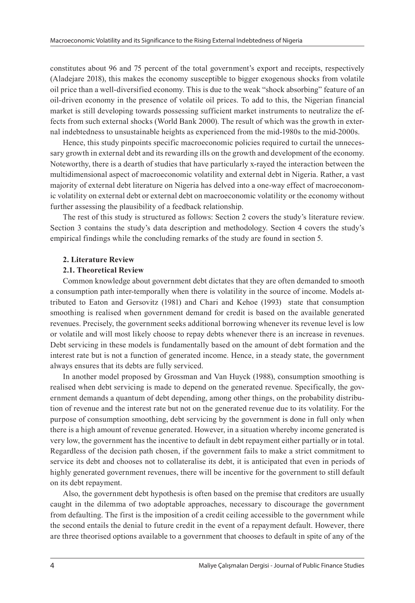constitutes about 96 and 75 percent of the total government's export and receipts, respectively (Aladejare 2018), this makes the economy susceptible to bigger exogenous shocks from volatile oil price than a well-diversified economy. This is due to the weak "shock absorbing" feature of an oil-driven economy in the presence of volatile oil prices. To add to this, the Nigerian financial market is still developing towards possessing sufficient market instruments to neutralize the effects from such external shocks (World Bank 2000). The result of which was the growth in external indebtedness to unsustainable heights as experienced from the mid-1980s to the mid-2000s.

Hence, this study pinpoints specific macroeconomic policies required to curtail the unnecessary growth in external debt and its rewarding ills on the growth and development of the economy. Noteworthy, there is a dearth of studies that have particularly x-rayed the interaction between the multidimensional aspect of macroeconomic volatility and external debt in Nigeria. Rather, a vast majority of external debt literature on Nigeria has delved into a one-way effect of macroeconomic volatility on external debt or external debt on macroeconomic volatility or the economy without further assessing the plausibility of a feedback relationship.

The rest of this study is structured as follows: Section 2 covers the study's literature review. Section 3 contains the study's data description and methodology. Section 4 covers the study's empirical findings while the concluding remarks of the study are found in section 5.

### **2. Literature Review**

# **2.1. Theoretical Review**

Common knowledge about government debt dictates that they are often demanded to smooth a consumption path inter-temporally when there is volatility in the source of income. Models attributed to Eaton and Gersovitz (1981) and Chari and Kehoe (1993) state that consumption smoothing is realised when government demand for credit is based on the available generated revenues. Precisely, the government seeks additional borrowing whenever its revenue level is low or volatile and will most likely choose to repay debts whenever there is an increase in revenues. Debt servicing in these models is fundamentally based on the amount of debt formation and the interest rate but is not a function of generated income. Hence, in a steady state, the government always ensures that its debts are fully serviced.

In another model proposed by Grossman and Van Huyck (1988), consumption smoothing is realised when debt servicing is made to depend on the generated revenue. Specifically, the government demands a quantum of debt depending, among other things, on the probability distribution of revenue and the interest rate but not on the generated revenue due to its volatility. For the purpose of consumption smoothing, debt servicing by the government is done in full only when there is a high amount of revenue generated. However, in a situation whereby income generated is very low, the government has the incentive to default in debt repayment either partially or in total. Regardless of the decision path chosen, if the government fails to make a strict commitment to service its debt and chooses not to collateralise its debt, it is anticipated that even in periods of highly generated government revenues, there will be incentive for the government to still default on its debt repayment.

Also, the government debt hypothesis is often based on the premise that creditors are usually caught in the dilemma of two adoptable approaches, necessary to discourage the government from defaulting. The first is the imposition of a credit ceiling accessible to the government while the second entails the denial to future credit in the event of a repayment default. However, there are three theorised options available to a government that chooses to default in spite of any of the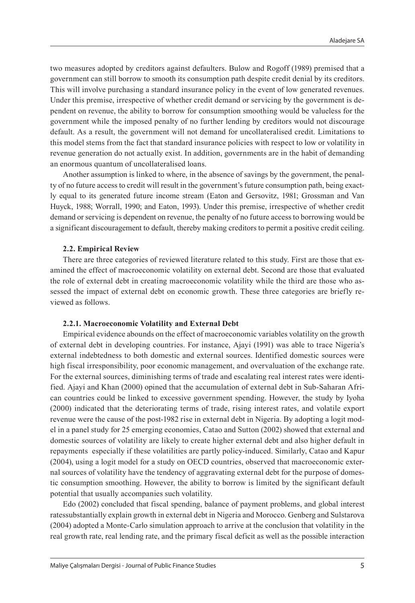two measures adopted by creditors against defaulters. Bulow and Rogoff (1989) premised that a government can still borrow to smooth its consumption path despite credit denial by its creditors. This will involve purchasing a standard insurance policy in the event of low generated revenues. Under this premise, irrespective of whether credit demand or servicing by the government is dependent on revenue, the ability to borrow for consumption smoothing would be valueless for the government while the imposed penalty of no further lending by creditors would not discourage default. As a result, the government will not demand for uncollateralised credit. Limitations to this model stems from the fact that standard insurance policies with respect to low or volatility in revenue generation do not actually exist. In addition, governments are in the habit of demanding an enormous quantum of uncollateralised loans.

Another assumption is linked to where, in the absence of savings by the government, the penalty of no future access to credit will result in the government's future consumption path, being exactly equal to its generated future income stream (Eaton and Gersovitz, 1981; Grossman and Van Huyck, 1988; Worrall, 1990; and Eaton, 1993). Under this premise, irrespective of whether credit demand or servicing is dependent on revenue, the penalty of no future access to borrowing would be a significant discouragement to default, thereby making creditors to permit a positive credit ceiling.

#### **2.2. Empirical Review**

There are three categories of reviewed literature related to this study. First are those that examined the effect of macroeconomic volatility on external debt. Second are those that evaluated the role of external debt in creating macroeconomic volatility while the third are those who assessed the impact of external debt on economic growth. These three categories are briefly reviewed as follows.

# **2.2.1. Macroeconomic Volatility and External Debt**

Empirical evidence abounds on the effect of macroeconomic variables volatility on the growth of external debt in developing countries. For instance, Ajayi (1991) was able to trace Nigeria's external indebtedness to both domestic and external sources. Identified domestic sources were high fiscal irresponsibility, poor economic management, and overvaluation of the exchange rate. For the external sources, diminishing terms of trade and escalating real interest rates were identified. Ajayi and Khan (2000) opined that the accumulation of external debt in Sub-Saharan African countries could be linked to excessive government spending. However, the study by Iyoha (2000) indicated that the deteriorating terms of trade, rising interest rates, and volatile export revenue were the cause of the post-1982 rise in external debt in Nigeria. By adopting a logit model in a panel study for 25 emerging economies, Catao and Sutton (2002) showed that external and domestic sources of volatility are likely to create higher external debt and also higher default in repayments especially if these volatilities are partly policy-induced. Similarly, Catao and Kapur (2004), using a logit model for a study on OECD countries, observed that macroeconomic external sources of volatility have the tendency of aggravating external debt for the purpose of domestic consumption smoothing. However, the ability to borrow is limited by the significant default potential that usually accompanies such volatility.

Edo (2002) concluded that fiscal spending, balance of payment problems, and global interest ratessubstantially explain growth in external debt in Nigeria and Morocco. Genberg and Sulstarova (2004) adopted a Monte-Carlo simulation approach to arrive at the conclusion that volatility in the real growth rate, real lending rate, and the primary fiscal deficit as well as the possible interaction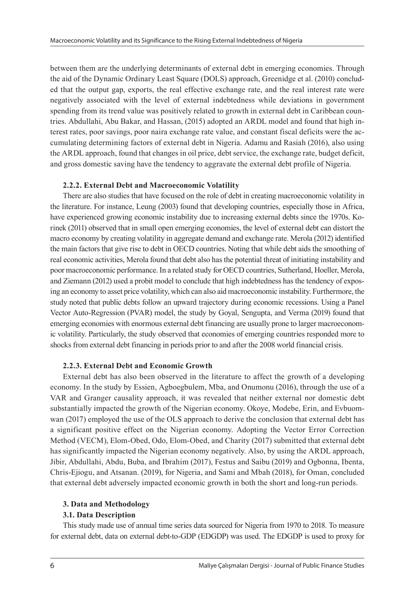between them are the underlying determinants of external debt in emerging economies. Through the aid of the Dynamic Ordinary Least Square (DOLS) approach, Greenidge et al. (2010) concluded that the output gap, exports, the real effective exchange rate, and the real interest rate were negatively associated with the level of external indebtedness while deviations in government spending from its trend value was positively related to growth in external debt in Caribbean countries. Abdullahi, Abu Bakar, and Hassan, (2015) adopted an ARDL model and found that high interest rates, poor savings, poor naira exchange rate value, and constant fiscal deficits were the accumulating determining factors of external debt in Nigeria. Adamu and Rasiah (2016), also using the ARDL approach, found that changes in oil price, debt service, the exchange rate, budget deficit, and gross domestic saving have the tendency to aggravate the external debt profile of Nigeria.

# **2.2.2. External Debt and Macroeconomic Volatility**

There are also studies that have focused on the role of debt in creating macroeconomic volatility in the literature. For instance, Leung (2003) found that developing countries, especially those in Africa, have experienced growing economic instability due to increasing external debts since the 1970s. Korinek (2011) observed that in small open emerging economies, the level of external debt can distort the macro economy by creating volatility in aggregate demand and exchange rate. Merola (2012) identified the main factors that give rise to debt in OECD countries. Noting that while debt aids the smoothing of real economic activities, Merola found that debt also has the potential threat of initiating instability and poor macroeconomic performance. In a related study for OECD countries, Sutherland, Hoeller, Merola, and Ziemann (2012) used a probit model to conclude that high indebtedness has the tendency of exposing an economy to asset price volatility, which can also aid macroeconomic instability. Furthermore, the study noted that public debts follow an upward trajectory during economic recessions. Using a Panel Vector Auto-Regression (PVAR) model, the study by Goyal, Sengupta, and Verma (2019) found that emerging economies with enormous external debt financing are usually prone to larger macroeconomic volatility. Particularly, the study observed that economies of emerging countries responded more to shocks from external debt financing in periods prior to and after the 2008 world financial crisis.

# **2.2.3. External Debt and Economic Growth**

External debt has also been observed in the literature to affect the growth of a developing economy. In the study by Essien, Agboegbulem, Mba, and Onumonu (2016), through the use of a VAR and Granger causality approach, it was revealed that neither external nor domestic debt substantially impacted the growth of the Nigerian economy. Okoye, Modebe, Erin, and Evbuomwan (2017) employed the use of the OLS approach to derive the conclusion that external debt has a significant positive effect on the Nigerian economy. Adopting the Vector Error Correction Method (VECM), Elom-Obed, Odo, Elom-Obed, and Charity (2017) submitted that external debt has significantly impacted the Nigerian economy negatively. Also, by using the ARDL approach, Jibir, Abdullahi, Abdu, Buba, and Ibrahim (2017), Festus and Saibu (2019) and Ogbonna, Ibenta, Chris-Ejiogu, and Atsanan. (2019), for Nigeria, and Sami and Mbah (2018), for Oman, concluded that external debt adversely impacted economic growth in both the short and long-run periods.

# **3. Data and Methodology**

# **3.1. Data Description**

This study made use of annual time series data sourced for Nigeria from 1970 to 2018. To measure for external debt, data on external debt-to-GDP (EDGDP) was used. The EDGDP is used to proxy for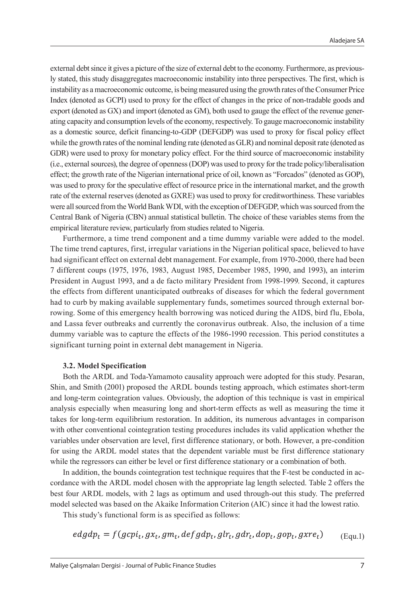external debt since it gives a picture of the size of external debt to the economy. Furthermore, as previously stated, this study disaggregates macroeconomic instability into three perspectives. The first, which is instability as a macroeconomic outcome, is being measured using the growth rates of the Consumer Price Index (denoted as GCPI) used to proxy for the effect of changes in the price of non-tradable goods and export (denoted as GX) and import (denoted as GM), both used to gauge the effect of the revenue generating capacity and consumption levels of the economy, respectively. To gauge macroeconomic instability as a domestic source, deficit financing-to-GDP (DEFGDP) was used to proxy for fiscal policy effect while the growth rates of the nominal lending rate (denoted as GLR) and nominal deposit rate (denoted as GDR) were used to proxy for monetary policy effect. For the third source of macroeconomic instability (i.e., external sources), the degree of openness (DOP) was used to proxy for the trade policy/liberalisation effect; the growth rate of the Nigerian international price of oil, known as "Forcados" (denoted as GOP), was used to proxy for the speculative effect of resource price in the international market, and the growth rate of the external reserves (denoted as GXRE) was used to proxy for creditworthiness. These variables were all sourced from the World Bank WDI, with the exception of DEFGDP, which was sourced from the Central Bank of Nigeria (CBN) annual statistical bulletin. The choice of these variables stems from the empirical literature review, particularly from studies related to Nigeria.

Furthermore, a time trend component and a time dummy variable were added to the model. The time trend captures, first, irregular variations in the Nigerian political space, believed to have had significant effect on external debt management. For example, from 1970-2000, there had been 7 different coups (1975, 1976, 1983, August 1985, December 1985, 1990, and 1993), an interim President in August 1993, and a de facto military President from 1998-1999. Second, it captures the effects from different unanticipated outbreaks of diseases for which the federal government had to curb by making available supplementary funds, sometimes sourced through external borrowing. Some of this emergency health borrowing was noticed during the AIDS, bird flu, Ebola, and Lassa fever outbreaks and currently the coronavirus outbreak. Also, the inclusion of a time dummy variable was to capture the effects of the 1986-1990 recession. This period constitutes a significant turning point in external debt management in Nigeria.

## **3.2. Model Specification**

Both the ARDL and Toda-Yamamoto causality approach were adopted for this study. Pesaran, Shin, and Smith (2001) proposed the ARDL bounds testing approach, which estimates short-term and long-term cointegration values. Obviously, the adoption of this technique is vast in empirical analysis especially when measuring long and short-term effects as well as measuring the time it takes for long-term equilibrium restoration. In addition, its numerous advantages in comparison with other conventional cointegration testing procedures includes its valid application whether the variables under observation are level, first difference stationary, or both. However, a pre-condition for using the ARDL model states that the dependent variable must be first difference stationary while the regressors can either be level or first difference stationary or a combination of both.

In addition, the bounds cointegration test technique requires that the F-test be conducted in accordance with the ARDL model chosen with the appropriate lag length selected. Table 2 offers the best four ARDL models, with 2 lags as optimum and used through-out this study. The preferred model selected was based on the Akaike Information Criterion (AIC) since it had the lowest ratio.

This study's functional form is as specified as follows:

$$
edgdp_t = f(gcpi_t, gx_t, gm_t, defgdp_t, glr_t, gdr_t, dop_t, gop_t, gxre_t)
$$
 (Equ.1)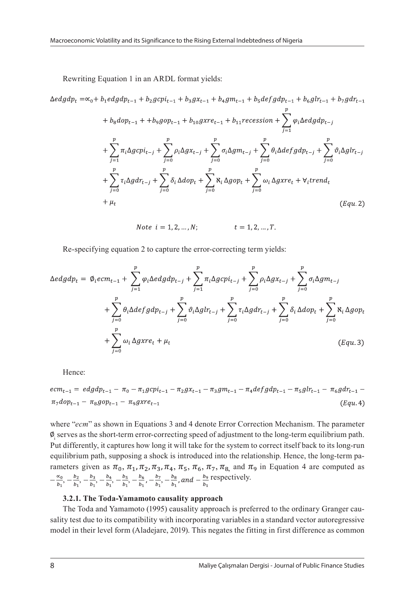Rewriting Equation 1 in an ARDL format yields:

+ 
$$
b_8 dop_{t-1}
$$
 +  $b_9gop_{t-1}$  +  $b_{10}gxre_{t-1}$  +  $b_{11}recession$  +  $\sum_{j=1}^{p} \varphi_i \triangle edgdp_{t-j}$   
+  $\sum_{j=1}^{p} \pi_i \triangle gcpi_{t-j}$  +  $\sum_{j=0}^{p} \rho_i \triangle gx_{t-j}$  +  $\sum_{j=0}^{p} \sigma_i \triangle gm_{t-j}$  +  $\sum_{j=0}^{p} \theta_i \triangle defgdp_{t-j}$  +  $\sum_{j=0}^{p} \tau_i \triangle gdr_{t-j}$  +  $\sum_{j=0}^{p} \tau_i \triangle gdr_{t-j}$  +  $\sum_{j=0}^{p} \delta_i \triangle dop_t$  +  $\sum_{j=0}^{p} \lambda_i \triangle gorp_t$  +  $\sum_{j=0}^{p} \omega_i \triangle gxre_t$  +  $\forall_i trend_t$   
+  $\mu_t$  (Equ. 2)

*Note*  $i = 1, 2, ..., N$ ;  $t = 1, 2, ..., T$ .

Re-specifying equation 2 to capture the error-correcting term yields:

$$
\Delta e d g d p_t = \emptyset_t e c m_{t-1} + \sum_{j=1}^p \varphi_i \Delta e d g d p_{t-j} + \sum_{j=1}^p \pi_i \Delta g c p_{t-j} + \sum_{j=0}^p \varphi_i \Delta g x_{t-j} + \sum_{j=0}^p \sigma_i \Delta g m_{t-j} + \sum_{j=0}^p \theta_i \Delta d e f g d p_{t-j} + \sum_{j=0}^p \varphi_i \Delta g l r_{t-j} + \sum_{j=0}^p \tau_i \Delta g d r_{t-j} + \sum_{j=0}^p \delta_i \Delta d o p_t + \sum_{j=0}^p \aleph_i \Delta g o p_t + \sum_{j=0}^p \omega_i \Delta g x r e_t + \mu_t
$$
\n
$$
(Equ. 3)
$$

Hence:

$$
ecm_{t-1} = edgdp_{t-1} - \pi_0 - \pi_1 g cpi_{t-1} - \pi_2 gx_{t-1} - \pi_3 gm_{t-1} - \pi_4 defgdp_{t-1} - \pi_5 g lr_{t-1} - \pi_6 g dr_{t-1} - \pi_7 dop_{t-1} - \pi_8 g op_{t-1} - \pi_9 g x re_{t-1}
$$
\n
$$
(Equ. 4)
$$

where "*ecm*" as shown in Equations 3 and 4 denote Error Correction Mechanism. The parameter i serves as the short-term error-correcting speed of adjustment to the long-term equilibrium path. Put differently, it captures how long it will take for the system to correct itself back to its long-run equilibrium path, supposing a shock is introduced into the relationship. Hence, the long-term parameters given as  $\pi_0$ ,  $\pi_1$ ,  $\pi_2$ ,  $\pi_3$ ,  $\pi_4$ ,  $\pi_5$ ,  $\pi_6$ ,  $\pi_7$ ,  $\pi_{8}$ , and  $\pi_9$  in Equation 4 are computed as  $-\frac{\alpha_0}{b_1}, -\frac{b_2}{b_1}, -\frac{b_3}{b_1}, -\frac{b_4}{b_1}, -\frac{b_5}{b_1}, -\frac{b_6}{b_1}, -\frac{b_7}{b_1}, -\frac{b_8}{b_1}$ , and  $-\frac{b_9}{b_1}$  respectively.

#### **3.2.1. The Toda-Yamamoto causality approach**

The Toda and Yamamoto (1995) causality approach is preferred to the ordinary Granger causality test due to its compatibility with incorporating variables in a standard vector autoregressive model in their level form (Aladejare, 2019). This negates the fitting in first difference as common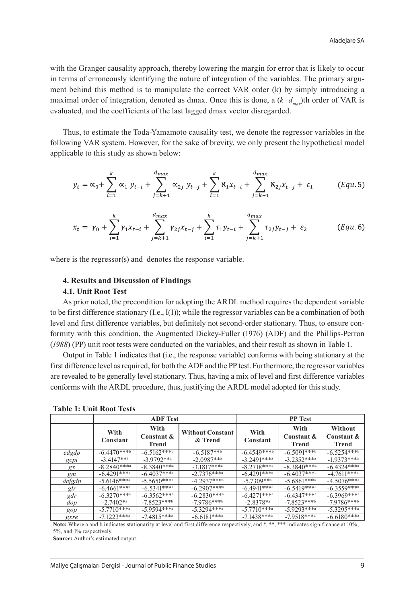with the Granger causality approach, thereby lowering the margin for error that is likely to occur in terms of erroneously identifying the nature of integration of the variables. The primary argument behind this method is to manipulate the correct VAR order (k) by simply introducing a maximal order of integration, denoted as dmax. Once this is done, a  $(k+d_{max})$ <sup>th</sup> order of VAR is evaluated, and the coefficients of the last lagged dmax vector disregarded.

Thus, to estimate the Toda-Yamamoto causality test, we denote the regressor variables in the following VAR system. However, for the sake of brevity, we only present the hypothetical model applicable to this study as shown below:

$$
y_{t} = \alpha_{0} + \sum_{i=1}^{k} \alpha_{1} y_{t-i} + \sum_{j=k+1}^{d_{max}} \alpha_{2j} y_{t-j} + \sum_{i=1}^{k} \alpha_{1} x_{t-i} + \sum_{j=k+1}^{d_{max}} \alpha_{2j} x_{t-j} + \varepsilon_{1}
$$
 (Equ.5)

$$
x_{t} = \gamma_{0} + \sum_{i=1}^{k} \gamma_{1} x_{t-i} + \sum_{j=k+1}^{d_{max}} \gamma_{2j} x_{t-j} + \sum_{i=1}^{k} \tau_{1} y_{t-i} + \sum_{j=k+1}^{d_{max}} \tau_{2j} y_{t-j} + \varepsilon_{2}
$$
 (Equ.6)

where is the regressor(s) and denotes the response variable.

#### **4. Results and Discussion of Findings**

#### **4.1. Unit Root Test**

As prior noted, the precondition for adopting the ARDL method requires the dependent variable to be first difference stationary (I.e., I(1)); while the regressor variables can be a combination of both level and first difference variables, but definitely not second-order stationary. Thus, to ensure conformity with this condition, the Augmented Dickey-Fuller (1976) (ADF) and the Phillips-Perron (*1988*) (PP) unit root tests were conducted on the variables, and their result as shown in Table 1.

Output in Table 1 indicates that (i.e., the response variable) conforms with being stationary at the first difference level as required, for both the ADF and the PP test. Furthermore, the regressor variables are revealed to be generally level stationary. Thus, having a mix of level and first difference variables conforms with the ARDL procedure, thus, justifying the ARDL model adopted for this study.

|                   | <b>ADF</b> Test  |                                    |                                    | <b>PP</b> Test   |                             |                                |
|-------------------|------------------|------------------------------------|------------------------------------|------------------|-----------------------------|--------------------------------|
|                   | With<br>Constant | With<br>Constant &<br><b>Trend</b> | <b>Without Constant</b><br>& Trend | With<br>Constant | With<br>Constant &<br>Trend | Without<br>Constant &<br>Trend |
| edgdp             | $-6.4470***$     | $-6.5162***$                       | $-6.5187***$                       | $-6.4549***$     | $-6.5091***$                | $-6.5254***$                   |
| $g$ c $p$ l       | $-3.4147***$     | $-3.9792***$                       | $-2.0987***$                       | $-3.2491***$     | $-3.2352***$                | $-1.9373***$                   |
| gx                | $-8.2840***$     | $-8.3840***$                       | $-3.1817***$                       | $-8.2718***$     | $-8.3840***$                | $-6.4324***$                   |
| gm                | $-6.4291***$     | $-6.4037***$                       | $-2.7376***$                       | $-6.4291***$     | $-6.4037***$                | $-4.7611***$                   |
| defgdp            | $-5.6146***$     | $-5.5650***$                       | $-4.2937***$                       | $-5.7309***$     | $-5.6861***$                | $-4.5076***$                   |
| glr               | $-6.4661***$     | $-6.5341***$                       | $-6.2907***$                       | $-6.4941***$     | $-6.5419***$                | $-6.3559***$                   |
| gdr               | $-6.3270***$     | $-6.3562***$                       | $-6.2830***$                       | $-6.4271***$     | $-6.4347***$                | $-6.3969***$                   |
| dop               | $-2.7402**$      | $-7.8523***$                       | $-7.9786***$                       | $-2.8378**$      | $-7.8523***$                | $-7.9786***$                   |
| gop               | $-5.7710***$     | $-5.9594***$                       | $-5.3294***$                       | $-5.7710***$     | $-5.9293***$                | $-5.3295***$                   |
| $\alpha$ $\alpha$ | $-7122$ ***a     | $-71815***$                        | $-6.6181***$                       | $-71128$ ***a    | $-70518$ ***a               | $-6.6180$ ***a                 |

**Table 1: Unit Root Tests**

gxre | -7.1223\*\*\*a | -7.4815\*\*\*a | -6.6181\*\*\*a | -7.1438\*\*\*a | -7.9518\*\*\*a | -6.6180\*\*\*a<br>**Note:** Where a and b indicates stationarity at level and first difference respectively, and \*, \*\*, \*\*\* indicates significance at 10% 5%, and 1% respectively.

**Source:** Author's estimated output.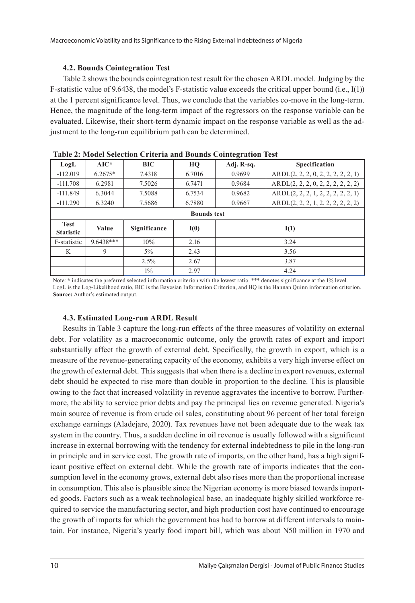# **4.2. Bounds Cointegration Test**

Table 2 shows the bounds cointegration test result for the chosen ARDL model. Judging by the F-statistic value of 9.6438, the model's F-statistic value exceeds the critical upper bound (i.e., I(1)) at the 1 percent significance level. Thus, we conclude that the variables co-move in the long-term. Hence, the magnitude of the long-term impact of the regressors on the response variable can be evaluated. Likewise, their short-term dynamic impact on the response variable as well as the adjustment to the long-run equilibrium path can be determined.

| Tubic = chouve belection criteria and bounds contemplation rest |             |              |        |            |                                    |  |
|-----------------------------------------------------------------|-------------|--------------|--------|------------|------------------------------------|--|
| LogL                                                            | $AIC^*$     | BIC          | HO     | Adj. R-sq. | <b>Specification</b>               |  |
| $-112.019$                                                      | $6.2675*$   | 7.4318       | 6.7016 | 0.9699     | ARDL(2, 2, 2, 0, 2, 2, 2, 2, 2, 1) |  |
| $-111.708$                                                      | 6.2981      | 7.5026       | 6.7471 | 0.9684     | ARDL(2, 2, 2, 0, 2, 2, 2, 2, 2, 2) |  |
| $-111.849$                                                      | 6.3044      | 7.5088       | 6.7534 | 0.9682     | ARDL(2, 2, 2, 1, 2, 2, 2, 2, 2, 1) |  |
| $-111.290$                                                      | 6.3240      | 7.5686       | 6.7880 | 0.9667     | ARDL(2, 2, 2, 1, 2, 2, 2, 2, 2, 2) |  |
| <b>Bounds test</b>                                              |             |              |        |            |                                    |  |
| <b>Test</b><br><b>Statistic</b>                                 | Value       | Significance | I(0)   |            | I(1)                               |  |
| F-statistic                                                     | $9.6438***$ | 10%          | 2.16   | 3.24       |                                    |  |
| K                                                               | 9           | $5\%$        | 2.43   | 3.56       |                                    |  |
|                                                                 |             | 2.5%         | 2.67   | 3.87       |                                    |  |
|                                                                 |             | $1\%$        | 2.97   | 4.24       |                                    |  |

|--|

Note: **\*** indicates the preferred selected information criterion with the lowest ratio. \*\*\* denotes significance at the 1% level. LogL is the Log-Likelihood ratio, BIC is the Bayesian Information Criterion, and HQ is the Hannan Quinn information criterion. **Source:** Author's estimated output.

# **4.3. Estimated Long-run ARDL Result**

Results in Table 3 capture the long-run effects of the three measures of volatility on external debt. For volatility as a macroeconomic outcome, only the growth rates of export and import substantially affect the growth of external debt. Specifically, the growth in export, which is a measure of the revenue-generating capacity of the economy, exhibits a very high inverse effect on the growth of external debt. This suggests that when there is a decline in export revenues, external debt should be expected to rise more than double in proportion to the decline. This is plausible owing to the fact that increased volatility in revenue aggravates the incentive to borrow. Furthermore, the ability to service prior debts and pay the principal lies on revenue generated. Nigeria's main source of revenue is from crude oil sales, constituting about 96 percent of her total foreign exchange earnings (Aladejare, 2020). Tax revenues have not been adequate due to the weak tax system in the country. Thus, a sudden decline in oil revenue is usually followed with a significant increase in external borrowing with the tendency for external indebtedness to pile in the long-run in principle and in service cost. The growth rate of imports, on the other hand, has a high significant positive effect on external debt. While the growth rate of imports indicates that the consumption level in the economy grows, external debt also rises more than the proportional increase in consumption. This also is plausible since the Nigerian economy is more biased towards imported goods. Factors such as a weak technological base, an inadequate highly skilled workforce required to service the manufacturing sector, and high production cost have continued to encourage the growth of imports for which the government has had to borrow at different intervals to maintain. For instance, Nigeria's yearly food import bill, which was about N50 million in 1970 and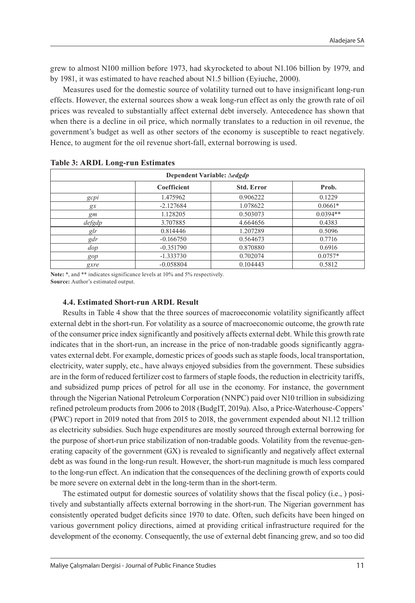grew to almost N100 million before 1973, had skyrocketed to about N1.106 billion by 1979, and by 1981, it was estimated to have reached about N1.5 billion (Eyiuche, 2000).

Measures used for the domestic source of volatility turned out to have insignificant long-run effects. However, the external sources show a weak long-run effect as only the growth rate of oil prices was revealed to substantially affect external debt inversely. Antecedence has shown that when there is a decline in oil price, which normally translates to a reduction in oil revenue, the government's budget as well as other sectors of the economy is susceptible to react negatively. Hence, to augment for the oil revenue short-fall, external borrowing is used.

| Dependent Variable: $\triangle$ <i>edgdp</i> |             |                   |            |  |  |
|----------------------------------------------|-------------|-------------------|------------|--|--|
|                                              | Coefficient | <b>Std. Error</b> | Prob.      |  |  |
| gcpi                                         | 1.475962    | 0.906222          | 0.1229     |  |  |
| gx                                           | $-2.127684$ | 1.078622          | $0.0661*$  |  |  |
| gm                                           | 1.128205    | 0.503073          | $0.0394**$ |  |  |
| defgdp                                       | 3.707885    | 4.664656          | 0.4383     |  |  |
| glr                                          | 0.814446    | 1.207289          | 0.5096     |  |  |
| gdr                                          | $-0.166750$ | 0.564673          | 0.7716     |  |  |
| dop                                          | $-0.351790$ | 0.870880          | 0.6916     |  |  |
| gop                                          | $-1.333730$ | 0.702074          | $0.0757*$  |  |  |
| gxre                                         | $-0.058804$ | 0.104443          | 0.5812     |  |  |

| <b>Table 3: ARDL Long-run Estimates</b> |  |
|-----------------------------------------|--|
|-----------------------------------------|--|

**Note:** \*, and \*\* indicates significance levels at 10% and 5% respectively. **Source:** Author's estimated output.

# **4.4. Estimated Short-run ARDL Result**

Results in Table 4 show that the three sources of macroeconomic volatility significantly affect external debt in the short-run. For volatility as a source of macroeconomic outcome, the growth rate of the consumer price index significantly and positively affects external debt. While this growth rate indicates that in the short-run, an increase in the price of non-tradable goods significantly aggravates external debt. For example, domestic prices of goods such as staple foods, local transportation, electricity, water supply, etc., have always enjoyed subsidies from the government. These subsidies are in the form of reduced fertilizer cost to farmers of staple foods, the reduction in electricity tariffs, and subsidized pump prices of petrol for all use in the economy. For instance, the government through the Nigerian National Petroleum Corporation (NNPC) paid over N10 trillion in subsidizing refined petroleum products from 2006 to 2018 (BudgIT, 2019a). Also, a Price-Waterhouse-Coppers' (PWC) report in 2019 noted that from 2015 to 2018, the government expended about N1.12 trillion as electricity subsidies. Such huge expenditures are mostly sourced through external borrowing for the purpose of short-run price stabilization of non-tradable goods. Volatility from the revenue-generating capacity of the government (GX) is revealed to significantly and negatively affect external debt as was found in the long-run result. However, the short-run magnitude is much less compared to the long-run effect. An indication that the consequences of the declining growth of exports could be more severe on external debt in the long-term than in the short-term.

The estimated output for domestic sources of volatility shows that the fiscal policy (i.e., ) positively and substantially affects external borrowing in the short-run. The Nigerian government has consistently operated budget deficits since 1970 to date. Often, such deficits have been hinged on various government policy directions, aimed at providing critical infrastructure required for the development of the economy. Consequently, the use of external debt financing grew, and so too did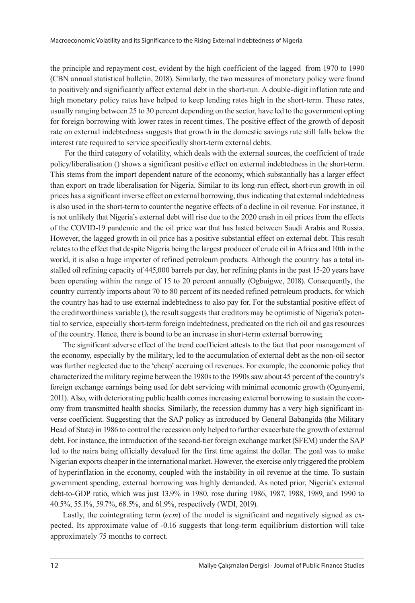the principle and repayment cost, evident by the high coefficient of the lagged from 1970 to 1990 (CBN annual statistical bulletin, 2018). Similarly, the two measures of monetary policy were found to positively and significantly affect external debt in the short-run. A double-digit inflation rate and high monetary policy rates have helped to keep lending rates high in the short-term. These rates, usually ranging between 25 to 30 percent depending on the sector, have led to the government opting for foreign borrowing with lower rates in recent times. The positive effect of the growth of deposit rate on external indebtedness suggests that growth in the domestic savings rate still falls below the interest rate required to service specifically short-term external debts.

 For the third category of volatility, which deals with the external sources, the coefficient of trade policy/liberalisation () shows a significant positive effect on external indebtedness in the short-term. This stems from the import dependent nature of the economy, which substantially has a larger effect than export on trade liberalisation for Nigeria. Similar to its long-run effect, short-run growth in oil prices has a significant inverse effect on external borrowing, thus indicating that external indebtedness is also used in the short-term to counter the negative effects of a decline in oil revenue. For instance, it is not unlikely that Nigeria's external debt will rise due to the 2020 crash in oil prices from the effects of the COVID-19 pandemic and the oil price war that has lasted between Saudi Arabia and Russia. However, the lagged growth in oil price has a positive substantial effect on external debt. This result relates to the effect that despite Nigeria being the largest producer of crude oil in Africa and 10th in the world, it is also a huge importer of refined petroleum products. Although the country has a total installed oil refining capacity of 445,000 barrels per day, her refining plants in the past 15-20 years have been operating within the range of 15 to 20 percent annually (Ogbuigwe, 2018). Consequently, the country currently imports about 70 to 80 percent of its needed refined petroleum products, for which the country has had to use external indebtedness to also pay for. For the substantial positive effect of the creditworthiness variable (), the result suggests that creditors may be optimistic of Nigeria's potential to service, especially short-term foreign indebtedness, predicated on the rich oil and gas resources of the country. Hence, there is bound to be an increase in short-term external borrowing.

The significant adverse effect of the trend coefficient attests to the fact that poor management of the economy, especially by the military, led to the accumulation of external debt as the non-oil sector was further neglected due to the 'cheap' accruing oil revenues. For example, the economic policy that characterized the military regime between the 1980s to the 1990s saw about 45 percent of the country's foreign exchange earnings being used for debt servicing with minimal economic growth (Ogunyemi, 2011). Also, with deteriorating public health comes increasing external borrowing to sustain the economy from transmitted health shocks. Similarly, the recession dummy has a very high significant inverse coefficient. Suggesting that the SAP policy as introduced by General Babangida (the Military Head of State) in 1986 to control the recession only helped to further exacerbate the growth of external debt. For instance, the introduction of the second-tier foreign exchange market (SFEM) under the SAP led to the naira being officially devalued for the first time against the dollar. The goal was to make Nigerian exports cheaper in the international market. However, the exercise only triggered the problem of hyperinflation in the economy, coupled with the instability in oil revenue at the time. To sustain government spending, external borrowing was highly demanded. As noted prior, Nigeria's external debt-to-GDP ratio, which was just 13.9% in 1980, rose during 1986, 1987, 1988, 1989, and 1990 to 40.5%, 55.1%, 59.7%, 68.5%, and 61.9%, respectively (WDI, 2019).

Lastly, the cointegrating term (*ecm*) of the model is significant and negatively signed as expected. Its approximate value of -0.16 suggests that long-term equilibrium distortion will take approximately 75 months to correct.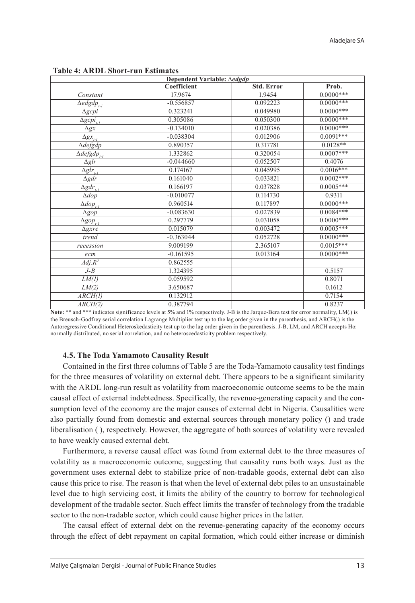| Dependent Variable: ∆edgdp                 |             |                   |              |  |  |
|--------------------------------------------|-------------|-------------------|--------------|--|--|
|                                            | Coefficient | <b>Std. Error</b> | Prob.        |  |  |
| Constant                                   | 17.9674     | 1.9454            | $0.0000***$  |  |  |
| $\triangle$ edgdp <sub>t-1</sub>           | $-0.556857$ | 0.092223          | $0.0000***$  |  |  |
| $\Delta g c p i$                           | 0.323241    | 0.049980          | $0.0000***$  |  |  |
| $\Delta g c p i_{l-l}$                     | 0.305086    | 0.050300          | $0.0000***$  |  |  |
| $\Delta gx$                                | $-0.134010$ | 0.020386          | $0.0000***$  |  |  |
| $\Delta gx_{i-1}$                          | $-0.038304$ | 0.012906          | $0.0091***$  |  |  |
| $\Delta$ defgdp                            | 0.890357    | 0.317781          | $0.0128**$   |  |  |
| $\overline{\triangle defgdp}_{i\text{-}l}$ | 1.332862    | 0.320054          | $0.0007***$  |  |  |
| $\Delta g$ lr                              | $-0.044660$ | 0.052507          | 0.4076       |  |  |
| $\overline{\Delta glr_{t-l}}$              | 0.174167    | 0.045995          | $0.0016***$  |  |  |
| $\Delta gdr$                               | 0.161040    | 0.033821          | $0.0002***$  |  |  |
| $\Delta gdr_{_{t-1}}$                      | 0.166197    | 0.037828          | $0.0005***$  |  |  |
| $\Delta dop$                               | $-0.010077$ | 0.114730          | 0.9311       |  |  |
| $\overline{\Delta dop_{t-1}}$              | 0.960514    | 0.117897          | $0.0000$ *** |  |  |
| $\Delta gop$                               | $-0.083630$ | 0.027839          | $0.0084***$  |  |  |
| $\Delta gop_{t-l}$                         | 0.297779    | 0.031058          | $0.0000***$  |  |  |
| $\Delta$ gxre                              | 0.015079    | 0.003472          | $0.0005***$  |  |  |
| trend                                      | $-0.363044$ | 0.052728          | $0.0000***$  |  |  |
| recession                                  | 9.009199    | 2.365107          | $0.0015***$  |  |  |
| ecm                                        | $-0.161595$ | 0.013164          | $0.0000$ *** |  |  |
| $Adj R^2$                                  | 0.862555    |                   |              |  |  |
| $J - B$                                    | 1.324395    |                   | 0.5157       |  |  |
| LM(I)                                      | 0.059592    |                   | 0.8071       |  |  |
| LM(2)                                      | 3.650687    |                   | 0.1612       |  |  |
| $\overline{ARCH(I)}$                       | 0.132912    |                   | 0.7154       |  |  |
| ARCH(2)                                    | 0.387794    |                   | 0.8237       |  |  |

| <b>Table 4: ARDL Short-run Estimates</b> |  |  |
|------------------------------------------|--|--|
|------------------------------------------|--|--|

**Note:** \*\* and \*\*\* indicates significance levels at 5% and 1% respectively. J-B is the Jarque-Bera test for error normality, LM(.) is the Breusch-Godfrey serial correlation Lagrange Multiplier test up to the lag order given in the parenthesis, and ARCH(.) is the Autoregressive Conditional Heteroskedasticity test up to the lag order given in the parenthesis. J-B, LM, and ARCH accepts Ho: normally distributed, no serial correlation, and no heteroscedasticity problem respectively.

### **4.5. The Toda Yamamoto Causality Result**

Contained in the first three columns of Table 5 are the Toda-Yamamoto causality test findings for the three measures of volatility on external debt. There appears to be a significant similarity with the ARDL long-run result as volatility from macroeconomic outcome seems to be the main causal effect of external indebtedness. Specifically, the revenue-generating capacity and the consumption level of the economy are the major causes of external debt in Nigeria. Causalities were also partially found from domestic and external sources through monetary policy () and trade liberalisation ( ), respectively. However, the aggregate of both sources of volatility were revealed to have weakly caused external debt.

Furthermore, a reverse causal effect was found from external debt to the three measures of volatility as a macroeconomic outcome, suggesting that causality runs both ways. Just as the government uses external debt to stabilize price of non-tradable goods, external debt can also cause this price to rise. The reason is that when the level of external debt piles to an unsustainable level due to high servicing cost, it limits the ability of the country to borrow for technological development of the tradable sector. Such effect limits the transfer of technology from the tradable sector to the non-tradable sector, which could cause higher prices in the latter.

The causal effect of external debt on the revenue-generating capacity of the economy occurs through the effect of debt repayment on capital formation, which could either increase or diminish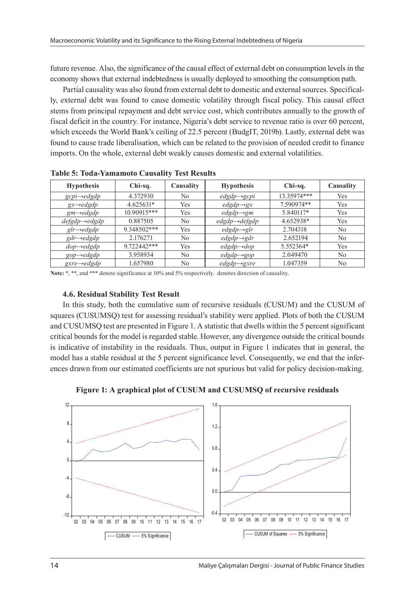future revenue. Also, the significance of the causal effect of external debt on consumption levels in the economy shows that external indebtedness is usually deployed to smoothing the consumption path.

Partial causality was also found from external debt to domestic and external sources. Specifically, external debt was found to cause domestic volatility through fiscal policy. This causal effect stems from principal repayment and debt service cost, which contributes annually to the growth of fiscal deficit in the country. For instance, Nigeria's debt service to revenue ratio is over 60 percent, which exceeds the World Bank's ceiling of 22.5 percent (BudgIT, 2019b). Lastly, external debt was found to cause trade liberalisation, which can be related to the provision of needed credit to finance imports. On the whole, external debt weakly causes domestic and external volatilities.

| <b>Hypothesis</b>          | Chi-sq.     | Causality | <b>Hypothesis</b>          | Chi-sq.     | Causality |
|----------------------------|-------------|-----------|----------------------------|-------------|-----------|
| $gcpi \rightarrow edgdp$   | 4.372930    | No        | $edgdp \rightarrow gcpi$   | 13.35974*** | Yes       |
| $gx \rightarrow edgdp$     | $4.625631*$ | Yes       | $edgdp \rightarrow gx$     | 7.590974**  | Yes       |
| $gm \rightarrow edgdp$     | 10.90915*** | Yes       | $edgdp \rightarrow gm$     | 5.840117*   | Yes       |
| $defgdp \rightarrow edgdp$ | 0.887505    | No        | $edgdp \rightarrow defgdp$ | 4.652938*   | Yes       |
| $glr \rightarrow edgdp$    | 9.348502*** | Yes       | $edgdp \rightarrow glr$    | 2.704318    | No        |
| $gdr \rightarrow edgdp$    | 2.176271    | No        | $edgdp \rightarrow gdr$    | 2.652194    | No        |
| $dop\rightarrow edgdp$     | 9.722442*** | Yes       | $edgdp \rightarrow dop$    | 5.552364*   | Yes       |
| $gop\rightarrow edgdp$     | 3.958934    | No        | $edgdp \rightarrow gop$    | 2.049470    | No        |
| $gxre \rightarrow edgdp$   | 1.657980    | No        | $edgdp \rightarrow gxre$   | 1.047359    | No        |

**Table 5: Toda-Yamamoto Causality Test Results**

**Note:** \*, \*\*, and \*\*\* denote significance at 10% and 5% respectively. denotes direction of causality.

### **4.6. Residual Stability Test Result**

In this study, both the cumulative sum of recursive residuals (CUSUM) and the CUSUM of squares (CUSUMSQ) test for assessing residual's stability were applied. Plots of both the CUSUM and CUSUMSQ test are presented in Figure 1. A statistic that dwells within the 5 percent significant critical bounds for the model is regarded stable. However, any divergence outside the critical bounds is indicative of instability in the residuals. Thus, output in Figure 1 indicates that in general, the model has a stable residual at the 5 percent significance level. Consequently, we end that the inferences drawn from our estimated coefficients are not spurious but valid for policy decision-making.



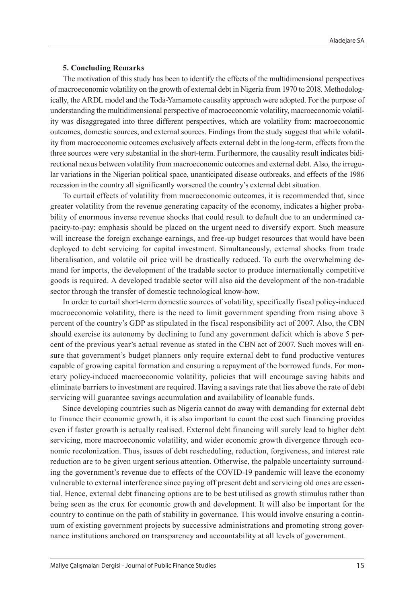### **5. Concluding Remarks**

The motivation of this study has been to identify the effects of the multidimensional perspectives of macroeconomic volatility on the growth of external debt in Nigeria from 1970 to 2018. Methodologically, the ARDL model and the Toda-Yamamoto causality approach were adopted. For the purpose of understanding the multidimensional perspective of macroeconomic volatility, macroeconomic volatility was disaggregated into three different perspectives, which are volatility from: macroeconomic outcomes, domestic sources, and external sources. Findings from the study suggest that while volatility from macroeconomic outcomes exclusively affects external debt in the long-term, effects from the three sources were very substantial in the short-term. Furthermore, the causality result indicates bidirectional nexus between volatility from macroeconomic outcomes and external debt. Also, the irregular variations in the Nigerian political space, unanticipated disease outbreaks, and effects of the 1986 recession in the country all significantly worsened the country's external debt situation.

To curtail effects of volatility from macroeconomic outcomes, it is recommended that, since greater volatility from the revenue generating capacity of the economy, indicates a higher probability of enormous inverse revenue shocks that could result to default due to an undermined capacity-to-pay; emphasis should be placed on the urgent need to diversify export. Such measure will increase the foreign exchange earnings, and free-up budget resources that would have been deployed to debt servicing for capital investment. Simultaneously, external shocks from trade liberalisation, and volatile oil price will be drastically reduced. To curb the overwhelming demand for imports, the development of the tradable sector to produce internationally competitive goods is required. A developed tradable sector will also aid the development of the non-tradable sector through the transfer of domestic technological know-how.

In order to curtail short-term domestic sources of volatility, specifically fiscal policy-induced macroeconomic volatility, there is the need to limit government spending from rising above 3 percent of the country's GDP as stipulated in the fiscal responsibility act of 2007. Also, the CBN should exercise its autonomy by declining to fund any government deficit which is above 5 percent of the previous year's actual revenue as stated in the CBN act of 2007. Such moves will ensure that government's budget planners only require external debt to fund productive ventures capable of growing capital formation and ensuring a repayment of the borrowed funds. For monetary policy-induced macroeconomic volatility, policies that will encourage saving habits and eliminate barriers to investment are required. Having a savings rate that lies above the rate of debt servicing will guarantee savings accumulation and availability of loanable funds.

Since developing countries such as Nigeria cannot do away with demanding for external debt to finance their economic growth, it is also important to count the cost such financing provides even if faster growth is actually realised. External debt financing will surely lead to higher debt servicing, more macroeconomic volatility, and wider economic growth divergence through economic recolonization. Thus, issues of debt rescheduling, reduction, forgiveness, and interest rate reduction are to be given urgent serious attention. Otherwise, the palpable uncertainty surrounding the government's revenue due to effects of the COVID-19 pandemic will leave the economy vulnerable to external interference since paying off present debt and servicing old ones are essential. Hence, external debt financing options are to be best utilised as growth stimulus rather than being seen as the crux for economic growth and development. It will also be important for the country to continue on the path of stability in governance. This would involve ensuring a continuum of existing government projects by successive administrations and promoting strong governance institutions anchored on transparency and accountability at all levels of government.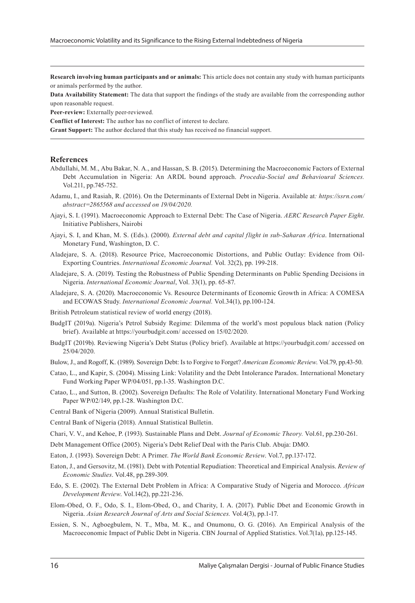**Research involving human participants and or animals:** This article does not contain any study with human participants or animals performed by the author.

**Data Availability Statement:** The data that support the findings of the study are available from the corresponding author upon reasonable request.

**Peer-review:** Externally peer-reviewed.

**Conflict of Interest:** The author has no conflict of interest to declare.

**Grant Support:** The author declared that this study has received no financial support.

#### **References**

- Abdullahi, M. M., Abu Bakar, N. A., and Hassan, S. B. (2015). Determining the Macroeconomic Factors of External Debt Accumulation in Nigeria: An ARDL bound approach. *Procedia-Social and Behavioural Sciences.* Vol.211, pp.745-752.
- Adamu, I., and Rasiah, R. (2016). On the Determinants of External Debt in Nigeria. Available at*: [https://ssrn.com/](https://ssrn.com/abstract=2865568) [abstract=2865568](https://ssrn.com/abstract=2865568) and accessed on 19/04/2020.*
- Ajayi, S. I. (1991). Macroeconomic Approach to External Debt: The Case of Nigeria. *AERC Research Paper Eight*. Initiative Publishers, Nairobi
- Ajayi, S. I, and Khan, M. S. (Eds.). (2000). *External debt and capital flight in sub-Saharan Africa*. International Monetary Fund, Washington, D. C.
- Aladejare, S. A. (2018). Resource Price, Macroeconomic Distortions, and Public Outlay: Evidence from Oil-Exporting Countries. *International Economic Journal.* Vol. 32(2), pp. 199-218.
- Aladejare, S. A. (2019). Testing the Robustness of Public Spending Determinants on Public Spending Decisions in Nigeria. *International Economic Journal*, Vol. 33(1), pp. 65-87.
- Aladejare, S. A. (2020). Macroeconomic Vs. Resource Determinants of Economic Growth in Africa: A COMESA and ECOWAS Study. *International Economic Journal.* Vol.34(1), pp.100-124.

British Petroleum statistical review of world energy (2018).

- BudgIT (2019a). Nigeria's Petrol Subsidy Regime: Dilemma of the world's most populous black nation (Policy brief). Available at <https://yourbudgit.com/>accessed on 15/02/2020.
- BudgIT (2019b). Reviewing Nigeria's Debt Status (Policy brief). Available at <https://yourbudgit.com/>accessed on 25/04/2020.
- Bulow, J., and Rogoff, K. (1989). Sovereign Debt: Is to Forgive to Forget? *American Economic Review*. Vol.79, pp.43-50.
- Catao, L., and Kapir, S. (2004). Missing Link: Volatility and the Debt Intolerance Paradox. International Monetary Fund Working Paper WP/04/051, pp.1-35. Washington D.C.

Catao, L., and Sutton, B. (2002). Sovereign Defaults: The Role of Volatility. International Monetary Fund Working Paper WP/02/149, pp.1-28. Washington D.C.

Central Bank of Nigeria (2009). Annual Statistical Bulletin.

Central Bank of Nigeria (2018). Annual Statistical Bulletin.

Debt Management Office (2005). Nigeria's Debt Relief Deal with the Paris Club. Abuja: DMO.

Eaton, J. (1993). Sovereign Debt: A Primer. *The World Bank Economic Review*. Vol.7, pp.137-172.

- Eaton, J., and Gersovitz, M. (1981). Debt with Potential Repudiation: Theoretical and Empirical Analysis. *Review of Economic Studies*. Vol.48, pp.289-309.
- Edo, S. E. (2002). The External Debt Problem in Africa: A Comparative Study of Nigeria and Morocco. *African Development Review*. Vol.14(2), pp.221-236.
- Elom-Obed, O. F., Odo, S. I., Elom-Obed, O., and Charity, I. A. (2017). Public Dbet and Economic Growth in Nigeria. *Asian Research Journal of Arts and Social Sciences.* Vol.4(3), pp.1-17.
- Essien, S. N., Agboegbulem, N. T., Mba, M. K., and Onumonu, O. G. (2016). An Empirical Analysis of the Macroeconomic Impact of Public Debt in Nigeria. CBN Journal of Applied Statistics. Vol.7(1a), pp.125-145.

Chari, V. V., and Kehoe, P. (1993). Sustainable Plans and Debt. *Journal of Economic Theory.* Vol.61, pp.230-261.